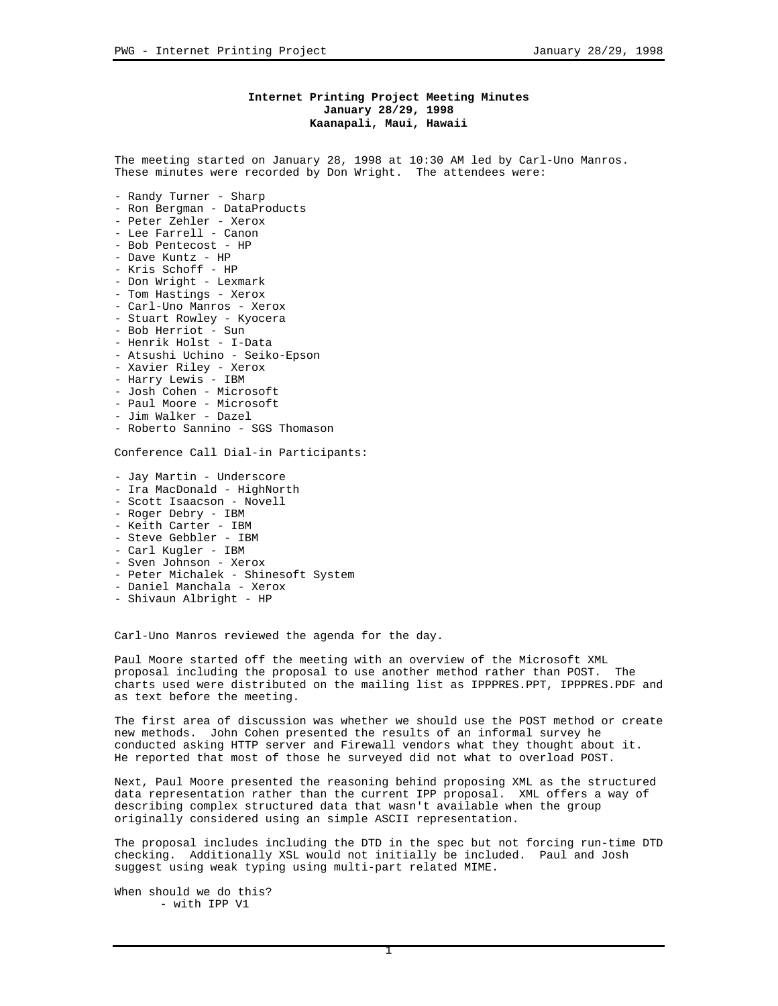## **Internet Printing Project Meeting Minutes January 28/29, 1998 Kaanapali, Maui, Hawaii**

The meeting started on January 28, 1998 at 10:30 AM led by Carl-Uno Manros. These minutes were recorded by Don Wright. The attendees were:

- Randy Turner Sharp
- Ron Bergman DataProducts
- Peter Zehler Xerox
- Lee Farrell Canon
- Bob Pentecost HP
- Dave Kuntz HP
- Kris Schoff HP
- Don Wright Lexmark
- Tom Hastings Xerox
- Carl-Uno Manros Xerox
- Stuart Rowley Kyocera
- Bob Herriot Sun - Henrik Holst - I-Data
- Atsushi Uchino Seiko-Epson
- Xavier Riley Xerox
- Harry Lewis IBM
- Josh Cohen Microsoft
- Paul Moore Microsoft
- Jim Walker Dazel
- Roberto Sannino SGS Thomason

Conference Call Dial-in Participants:

- Jay Martin Underscore
- Ira MacDonald HighNorth
- Scott Isaacson Novell
- Roger Debry IBM
- Keith Carter IBM
- Steve Gebbler IBM
- Carl Kugler IBM
- Sven Johnson Xerox
- Peter Michalek Shinesoft System
- Daniel Manchala Xerox
- Shivaun Albright HP

Carl-Uno Manros reviewed the agenda for the day.

Paul Moore started off the meeting with an overview of the Microsoft XML proposal including the proposal to use another method rather than POST. The charts used were distributed on the mailing list as IPPPRES.PPT, IPPPRES.PDF and as text before the meeting.

The first area of discussion was whether we should use the POST method or create new methods. John Cohen presented the results of an informal survey he conducted asking HTTP server and Firewall vendors what they thought about it. He reported that most of those he surveyed did not what to overload POST.

Next, Paul Moore presented the reasoning behind proposing XML as the structured data representation rather than the current IPP proposal. XML offers a way of describing complex structured data that wasn't available when the group originally considered using an simple ASCII representation.

The proposal includes including the DTD in the spec but not forcing run-time DTD checking. Additionally XSL would not initially be included. Paul and Josh suggest using weak typing using multi-part related MIME.

When should we do this? - with IPP V1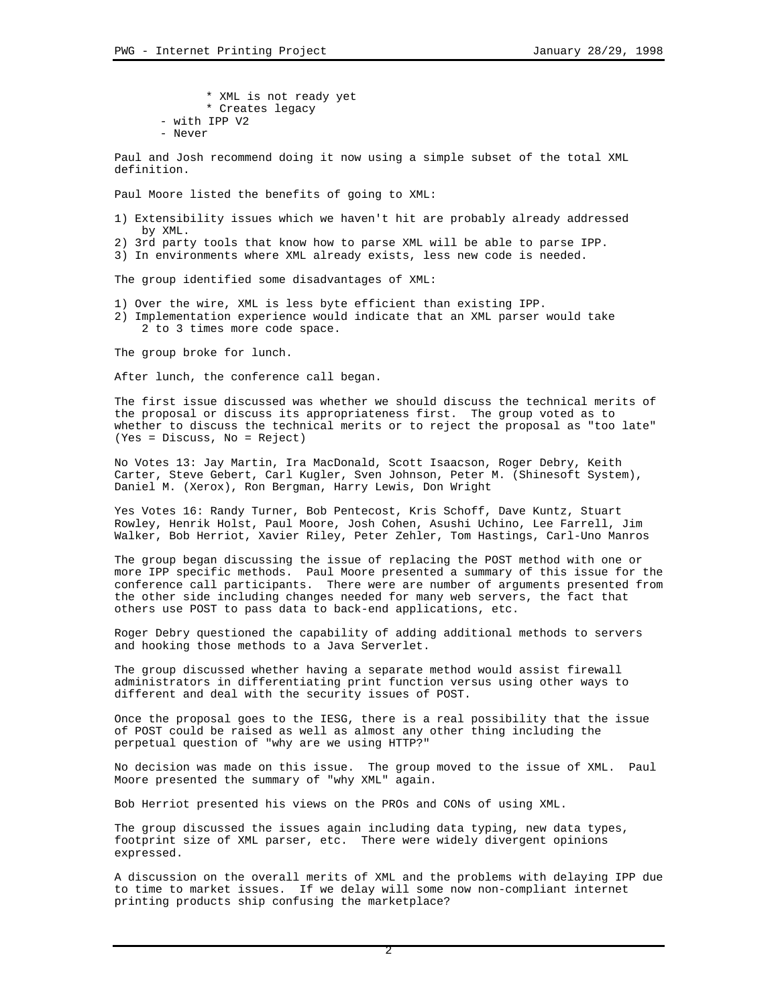\* XML is not ready yet \* Creates legacy - with IPP V2 - Never

Paul and Josh recommend doing it now using a simple subset of the total XML definition.

Paul Moore listed the benefits of going to XML:

- 1) Extensibility issues which we haven't hit are probably already addressed by XML.
- 2) 3rd party tools that know how to parse XML will be able to parse IPP.
- 3) In environments where XML already exists, less new code is needed.

The group identified some disadvantages of XML:

- 1) Over the wire, XML is less byte efficient than existing IPP.
- 2) Implementation experience would indicate that an XML parser would take 2 to 3 times more code space.

The group broke for lunch.

After lunch, the conference call began.

The first issue discussed was whether we should discuss the technical merits of the proposal or discuss its appropriateness first. The group voted as to whether to discuss the technical merits or to reject the proposal as "too late" (Yes = Discuss, No = Reject)

No Votes 13: Jay Martin, Ira MacDonald, Scott Isaacson, Roger Debry, Keith Carter, Steve Gebert, Carl Kugler, Sven Johnson, Peter M. (Shinesoft System), Daniel M. (Xerox), Ron Bergman, Harry Lewis, Don Wright

Yes Votes 16: Randy Turner, Bob Pentecost, Kris Schoff, Dave Kuntz, Stuart Rowley, Henrik Holst, Paul Moore, Josh Cohen, Asushi Uchino, Lee Farrell, Jim Walker, Bob Herriot, Xavier Riley, Peter Zehler, Tom Hastings, Carl-Uno Manros

The group began discussing the issue of replacing the POST method with one or more IPP specific methods. Paul Moore presented a summary of this issue for the conference call participants. There were are number of arguments presented from the other side including changes needed for many web servers, the fact that others use POST to pass data to back-end applications, etc.

Roger Debry questioned the capability of adding additional methods to servers and hooking those methods to a Java Serverlet.

The group discussed whether having a separate method would assist firewall administrators in differentiating print function versus using other ways to different and deal with the security issues of POST.

Once the proposal goes to the IESG, there is a real possibility that the issue of POST could be raised as well as almost any other thing including the perpetual question of "why are we using HTTP?"

No decision was made on this issue. The group moved to the issue of XML. Paul Moore presented the summary of "why XML" again.

Bob Herriot presented his views on the PROs and CONs of using XML.

The group discussed the issues again including data typing, new data types, footprint size of XML parser, etc. There were widely divergent opinions expressed.

A discussion on the overall merits of XML and the problems with delaying IPP due to time to market issues. If we delay will some now non-compliant internet printing products ship confusing the marketplace?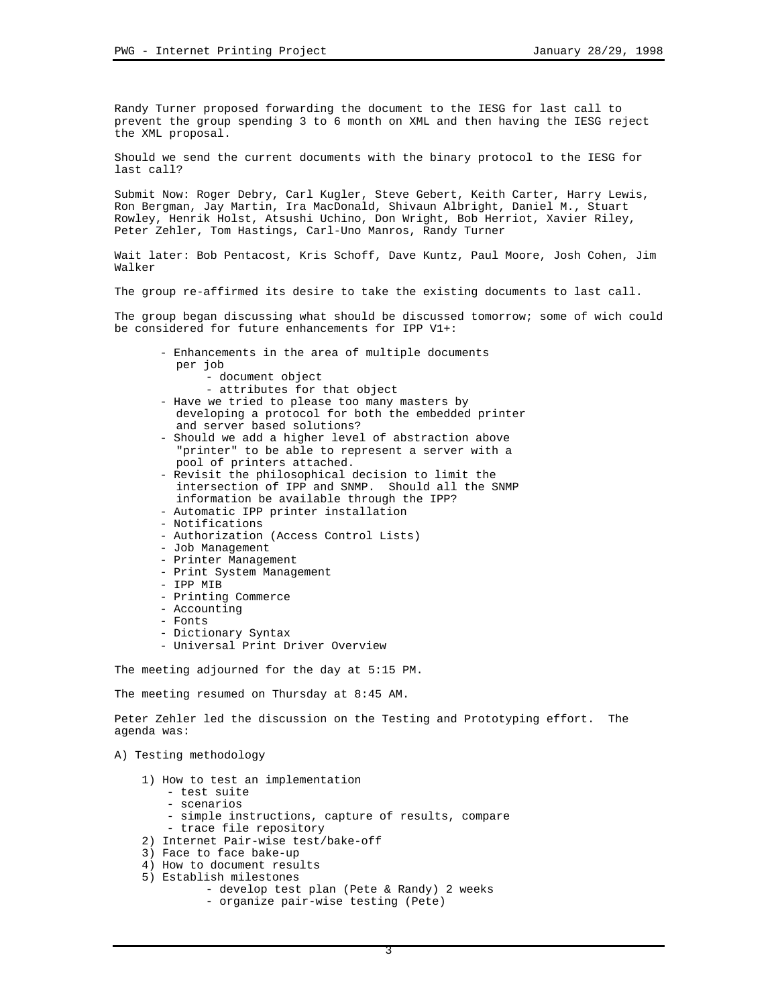Randy Turner proposed forwarding the document to the IESG for last call to prevent the group spending 3 to 6 month on XML and then having the IESG reject the XML proposal.

Should we send the current documents with the binary protocol to the IESG for last call?

Submit Now: Roger Debry, Carl Kugler, Steve Gebert, Keith Carter, Harry Lewis, Ron Bergman, Jay Martin, Ira MacDonald, Shivaun Albright, Daniel M., Stuart Rowley, Henrik Holst, Atsushi Uchino, Don Wright, Bob Herriot, Xavier Riley, Peter Zehler, Tom Hastings, Carl-Uno Manros, Randy Turner

Wait later: Bob Pentacost, Kris Schoff, Dave Kuntz, Paul Moore, Josh Cohen, Jim Walker

The group re-affirmed its desire to take the existing documents to last call.

The group began discussing what should be discussed tomorrow; some of wich could be considered for future enhancements for IPP V1+:

- Enhancements in the area of multiple documents per job
	- document object
	- attributes for that object
- Have we tried to please too many masters by developing a protocol for both the embedded printer and server based solutions?
- Should we add a higher level of abstraction above "printer" to be able to represent a server with a pool of printers attached.
- Revisit the philosophical decision to limit the intersection of IPP and SNMP. Should all the SNMP information be available through the IPP?
- Automatic IPP printer installation
- Notifications
- Authorization (Access Control Lists)
- Job Management
- Printer Management
- Print System Management
- IPP MIB
- Printing Commerce
- Accounting
- Fonts
- Dictionary Syntax
- Universal Print Driver Overview

The meeting adjourned for the day at 5:15 PM.

The meeting resumed on Thursday at 8:45 AM.

Peter Zehler led the discussion on the Testing and Prototyping effort. The agenda was:

## A) Testing methodology

- 1) How to test an implementation
	- test suite
	- scenarios
	- simple instructions, capture of results, compare
	- trace file repository
- 2) Internet Pair-wise test/bake-off
- 3) Face to face bake-up
- 4) How to document results
- 5) Establish milestones
	- develop test plan (Pete & Randy) 2 weeks
	- organize pair-wise testing (Pete)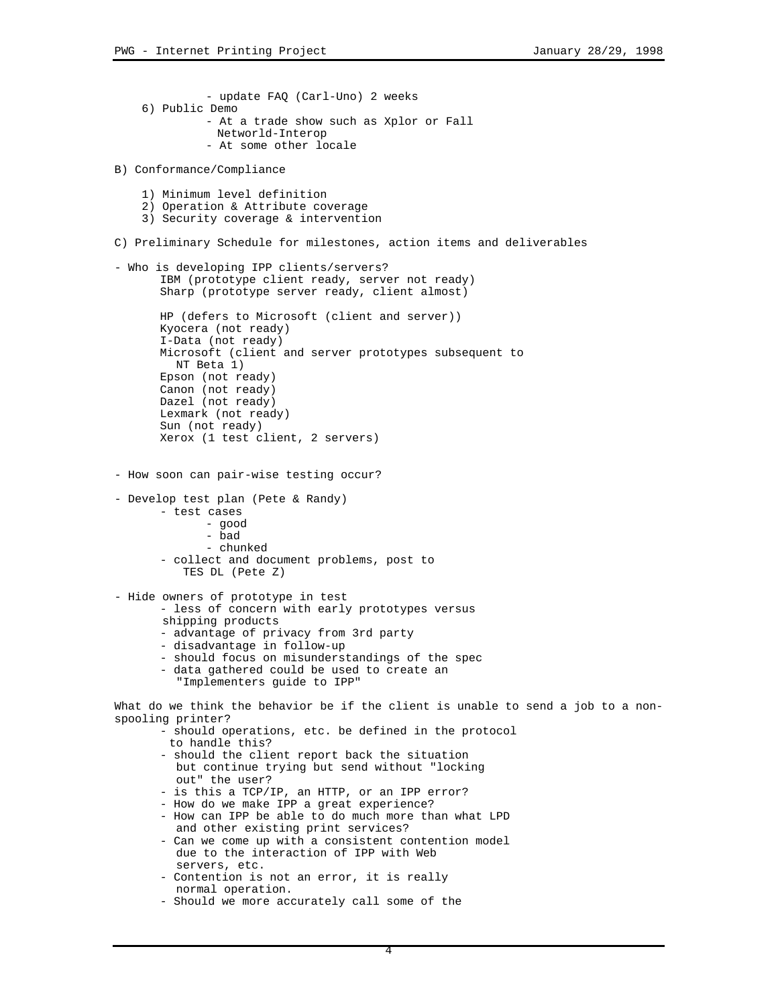```
- update FAQ (Carl-Uno) 2 weeks
     6) Public Demo
              - At a trade show such as Xplor or Fall
                Networld-Interop
              - At some other locale
B) Conformance/Compliance
     1) Minimum level definition
     2) Operation & Attribute coverage
     3) Security coverage & intervention
C) Preliminary Schedule for milestones, action items and deliverables
- Who is developing IPP clients/servers?
      IBM (prototype client ready, server not ready)
      Sharp (prototype server ready, client almost)
      HP (defers to Microsoft (client and server))
      Kyocera (not ready)
      I-Data (not ready)
      Microsoft (client and server prototypes subsequent to
         NT Beta 1)
      Epson (not ready)
      Canon (not ready)
      Dazel (not ready)
      Lexmark (not ready)
      Sun (not ready)
      Xerox (1 test client, 2 servers)
- How soon can pair-wise testing occur?
- Develop test plan (Pete & Randy)
       - test cases
             - good
             - bad
              - chunked
       - collect and document problems, post to
           TES DL (Pete Z)
- Hide owners of prototype in test
       - less of concern with early prototypes versus
        shipping products
       - advantage of privacy from 3rd party
       - disadvantage in follow-up
       - should focus on misunderstandings of the spec
        - data gathered could be used to create an
          "Implementers guide to IPP"
What do we think the behavior be if the client is unable to send a job to a non-
spooling printer?
       - should operations, etc. be defined in the protocol
         to handle this?
       - should the client report back the situation
          but continue trying but send without "locking
          out" the user?
       - is this a TCP/IP, an HTTP, or an IPP error?
       - How do we make IPP a great experience?
       - How can IPP be able to do much more than what LPD
          and other existing print services?
       - Can we come up with a consistent contention model
          due to the interaction of IPP with Web
          servers, etc.
       - Contention is not an error, it is really
         normal operation.
```
- Should we more accurately call some of the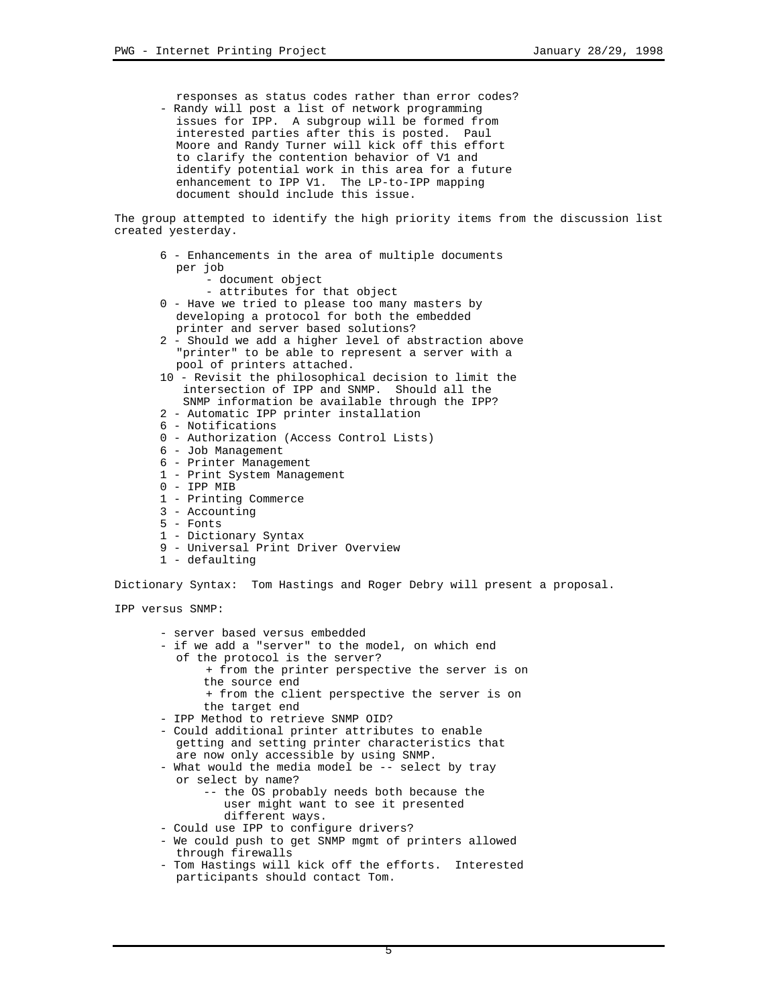responses as status codes rather than error codes? - Randy will post a list of network programming

 issues for IPP. A subgroup will be formed from interested parties after this is posted. Paul Moore and Randy Turner will kick off this effort to clarify the contention behavior of V1 and identify potential work in this area for a future enhancement to IPP V1. The LP-to-IPP mapping document should include this issue.

The group attempted to identify the high priority items from the discussion list created yesterday.

- 6 Enhancements in the area of multiple documents per job
	- document object
	- attributes for that object
- 0 Have we tried to please too many masters by developing a protocol for both the embedded printer and server based solutions?
- 2 Should we add a higher level of abstraction above "printer" to be able to represent a server with a pool of printers attached.
- 10 Revisit the philosophical decision to limit the intersection of IPP and SNMP. Should all the SNMP information be available through the IPP?
- 2 Automatic IPP printer installation
- 6 Notifications
- 0 Authorization (Access Control Lists)
- 6 Job Management
- 6 Printer Management
- 1 Print System Management
- 0 IPP MIB
- 1 Printing Commerce
- 3 Accounting
- 5 Fonts
- 1 Dictionary Syntax
- 9 Universal Print Driver Overview
- 1 defaulting

Dictionary Syntax: Tom Hastings and Roger Debry will present a proposal.

IPP versus SNMP:

- server based versus embedded - if we add a "server" to the model, on which end of the protocol is the server? + from the printer perspective the server is on the source end + from the client perspective the server is on the target end - IPP Method to retrieve SNMP OID? - Could additional printer attributes to enable getting and setting printer characteristics that are now only accessible by using SNMP. - What would the media model be -- select by tray or select by name? -- the OS probably needs both because the user might want to see it presented different ways. - Could use IPP to configure drivers?
- We could push to get SNMP mgmt of printers allowed through firewalls
- Tom Hastings will kick off the efforts. Interested participants should contact Tom.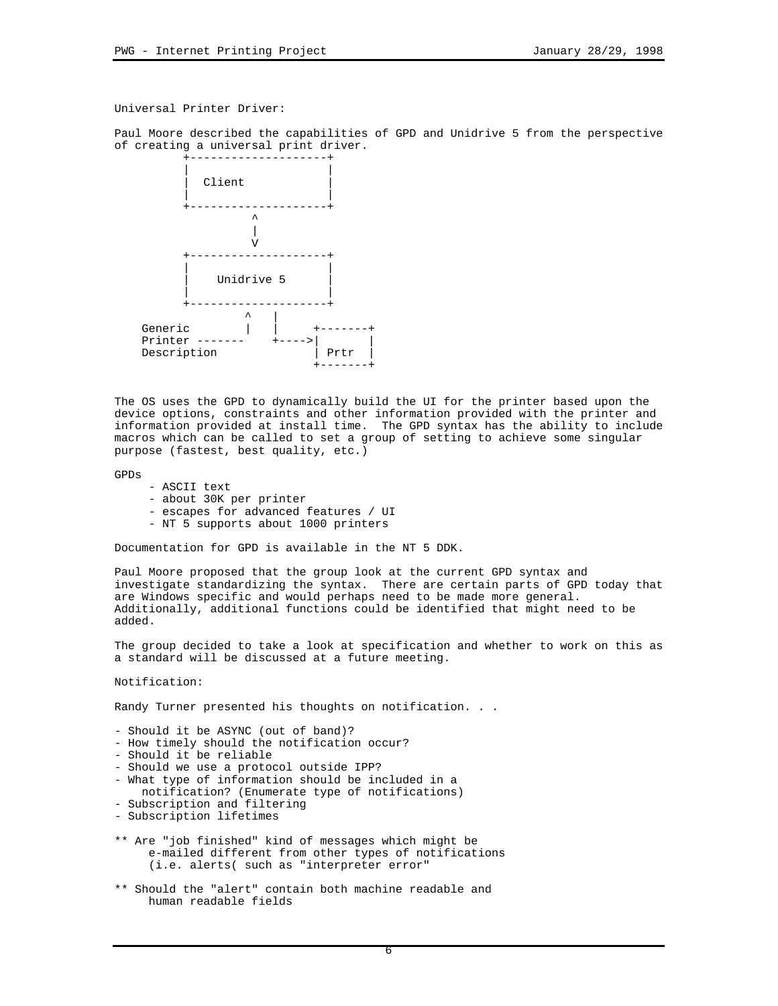## Universal Printer Driver:

Paul Moore described the capabilities of GPD and Unidrive 5 from the perspective of creating a universal print driver.



The OS uses the GPD to dynamically build the UI for the printer based upon the device options, constraints and other information provided with the printer and information provided at install time. The GPD syntax has the ability to include macros which can be called to set a group of setting to achieve some singular purpose (fastest, best quality, etc.)

GPDs

- ASCII text
- about 30K per printer
- escapes for advanced features / UI
- NT 5 supports about 1000 printers

Documentation for GPD is available in the NT 5 DDK.

Paul Moore proposed that the group look at the current GPD syntax and investigate standardizing the syntax. There are certain parts of GPD today that are Windows specific and would perhaps need to be made more general. Additionally, additional functions could be identified that might need to be added.

The group decided to take a look at specification and whether to work on this as a standard will be discussed at a future meeting.

Notification:

Randy Turner presented his thoughts on notification. . .

- Should it be ASYNC (out of band)?
- How timely should the notification occur?
- Should it be reliable
- Should we use a protocol outside IPP?
- What type of information should be included in a
- notification? (Enumerate type of notifications)
- Subscription and filtering
- Subscription lifetimes
- \*\* Are "job finished" kind of messages which might be e-mailed different from other types of notifications (i.e. alerts( such as "interpreter error"
- \*\* Should the "alert" contain both machine readable and human readable fields